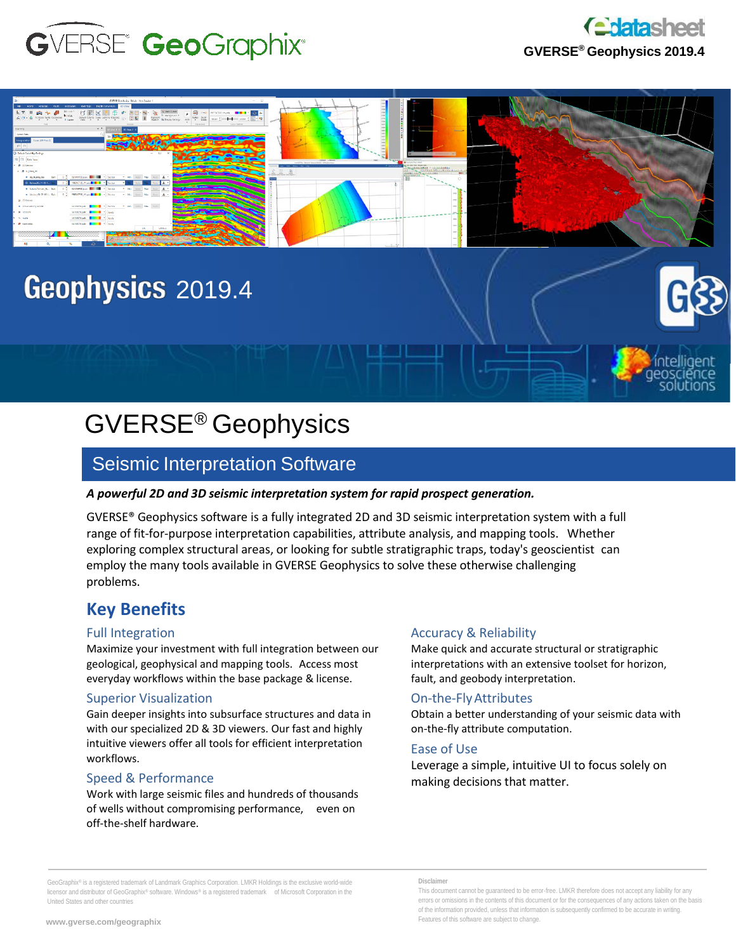



intelligent eosciénce solutions



# Geophysics 2019.4

# GVERSE® Geophysics

# Seismic Interpretation Software

#### *A powerful 2D and 3D seismic interpretation system for rapid prospect generation.*

GVERSE® Geophysics software is a fully integrated 2D and 3D seismic interpretation system with a full range of fit-for-purpose interpretation capabilities, attribute analysis, and mapping tools. Whether exploring complex structural areas, or looking for subtle stratigraphic traps, today's geoscientist can employ the many tools available in GVERSE Geophysics to solve these otherwise challenging problems.

# **Key Benefits**

#### Full Integration

Maximize your investment with full integration between our geological, geophysical and mapping tools. Access most everyday workflows within the base package & license.

#### Superior Visualization

Gain deeper insights into subsurface structures and data in with our specialized 2D & 3D viewers. Our fast and highly intuitive viewers offer all tools for efficient interpretation workflows.

#### Speed & Performance

Work with large seismic files and hundreds of thousands of wells without compromising performance, even on off-the-shelf hardware.

#### Accuracy & Reliability

Make quick and accurate structural or stratigraphic interpretations with an extensive toolset for horizon, fault, and geobody interpretation.

#### On-the-FlyAttributes

Obtain a better understanding of your seismic data with on-the-fly attribute computation.

#### Ease of Use

Leverage a simple, intuitive UI to focus solely on making decisions that matter.

GeoGraphix® is a registered trademark of Landmark Graphics Corporation. LMKR Holdings is the exclusive world-wide licensor and distributor of GeoGraphix® software. Windows® is a registered trademark of Microsoft Corporation in the United States and other countries

This document cannot be guaranteed to be error-free. LMKR therefore does not accept any liability for any errors or omissions in the contents of this document or for the consequences of any actions taken on the basis of the information provided, unless that information is subsequently confirmed to be accurate in writing. Features of this software are subject to change.

**Disclaimer**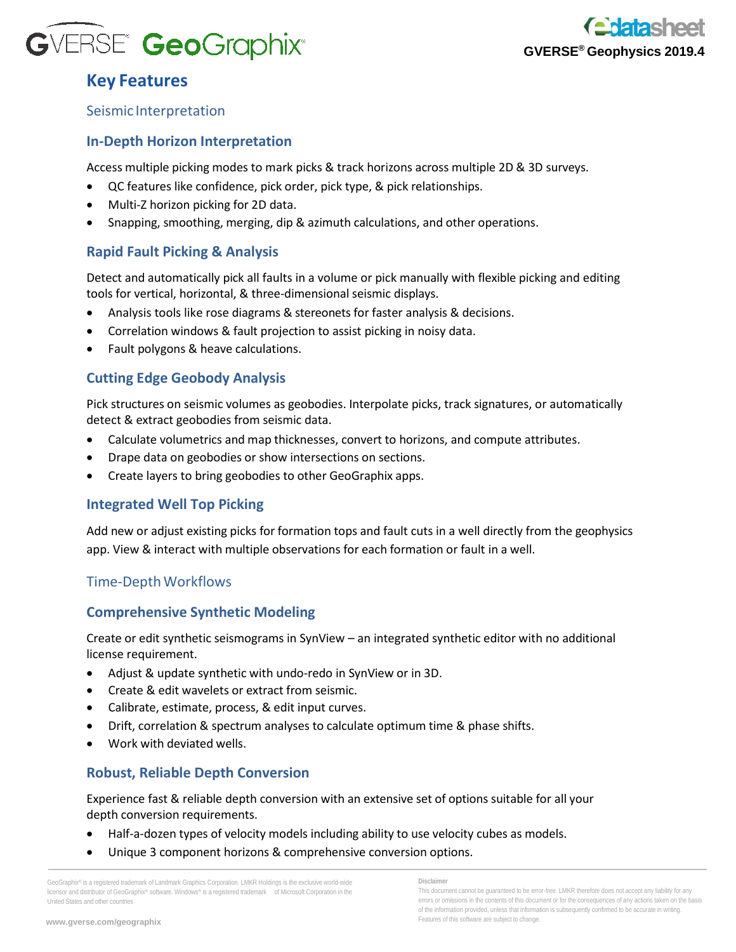



# **Key Features**

#### Seismic Interpretation

#### **In-Depth Horizon Interpretation**

Access multiple picking modes to mark picks & track horizons across multiple 2D & 3D surveys.

- QC features like confidence, pick order, pick type, & pick relationships.
- Multi-Z horizon picking for 2D data.
- Snapping, smoothing, merging, dip & azimuth calculations, and other operations.

## **Rapid Fault Picking & Analysis**

Detect and automatically pick all faults in a volume or pick manually with flexible picking and editing tools for vertical, horizontal, & three-dimensional seismic displays.

- Analysis tools like rose diagrams & stereonets for faster analysis & decisions.
- Correlation windows & fault projection to assist picking in noisy data.
- Fault polygons & heave calculations.

#### **Cutting Edge Geobody Analysis**

Pick structures on seismic volumes as geobodies. Interpolate picks, track signatures, or automatically detect & extract geobodies from seismic data.

- Calculate volumetrics and map thicknesses, convert to horizons, and compute attributes.
- Drape data on geobodies or show intersections on sections.
- Create layers to bring geobodies to other GeoGraphix apps.

#### **Integrated Well Top Picking**

Add new or adjust existing picks for formation tops and fault cuts in a well directly from the geophysics app. View & interact with multiple observations for each formation or fault in a well.

#### Time-DepthWorkflows

#### **Comprehensive Synthetic Modeling**

Create or edit synthetic seismograms in SynView – an integrated synthetic editor with no additional license requirement.

- Adjust & update synthetic with undo-redo in SynView or in 3D.
- Create & edit wavelets or extract from seismic.
- Calibrate, estimate, process, & edit input curves.
- Drift, correlation & spectrum analyses to calculate optimum time & phase shifts.
- Work with deviated wells.

#### **Robust, Reliable Depth Conversion**

Experience fast & reliable depth conversion with an extensive set of options suitable for all your depth conversion requirements.

- Half-a-dozen types of velocity models including ability to use velocity cubes as models.
- Unique 3 component horizons & comprehensive conversion options.

GeoGraphix® is a registered trademark of Landmark Graphics Corporation. LMKR Holdings is the exclusive world-wide licensor and distributor of GeoGraphix® software. Windows® is a registered trademark of Microsoft Corporation in the United States and other countries

#### **Disclaimer**

This document cannot be guaranteed to be error-free. LMKR therefore does not accept any liability for any errors or omissions in the contents of this document or for the consequences of any actions taken on the basis of the information provided, unless that information is subsequently confirmed to be accurate in writing. Features of this software are subject to change.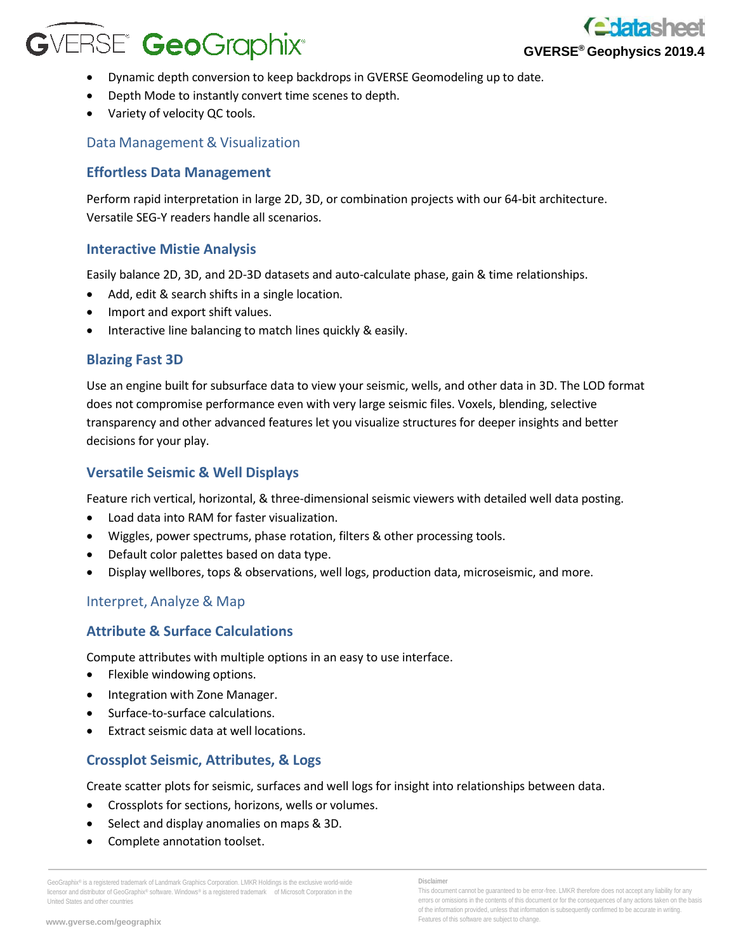# **GVERSE<sup>®</sup> GeoGraphix®**



- Dynamic depth conversion to keep backdrops in GVERSE Geomodeling up to date.
- Depth Mode to instantly convert time scenes to depth.
- Variety of velocity QC tools.

# Data Management & Visualization

## **Effortless Data Management**

Perform rapid interpretation in large 2D, 3D, or combination projects with our 64-bit architecture. Versatile SEG-Y readers handle all scenarios.

## **Interactive Mistie Analysis**

Easily balance 2D, 3D, and 2D-3D datasets and auto-calculate phase, gain & time relationships.

- Add, edit & search shifts in a single location.
- Import and export shift values.
- Interactive line balancing to match lines quickly & easily.

## **Blazing Fast 3D**

Use an engine built for subsurface data to view your seismic, wells, and other data in 3D. The LOD format does not compromise performance even with very large seismic files. Voxels, blending, selective transparency and other advanced features let you visualize structures for deeper insights and better decisions for your play.

## **Versatile Seismic & Well Displays**

Feature rich vertical, horizontal, & three-dimensional seismic viewers with detailed well data posting.

- Load data into RAM for faster visualization.
- Wiggles, power spectrums, phase rotation, filters & other processing tools.
- Default color palettes based on data type.
- Display wellbores, tops & observations, well logs, production data, microseismic, and more.

# Interpret, Analyze & Map

# **Attribute & Surface Calculations**

Compute attributes with multiple options in an easy to use interface.

- Flexible windowing options.
- Integration with Zone Manager.
- Surface-to-surface calculations.
- Extract seismic data at well locations.

# **Crossplot Seismic, Attributes, & Logs**

Create scatter plots for seismic, surfaces and well logs for insight into relationships between data.

- Crossplots for sections, horizons, wells or volumes.
- Select and display anomalies on maps & 3D.
- Complete annotation toolset.

GeoGraphix® is a registered trademark of Landmark Graphics Corporation. LMKR Holdings is the exclusive world-wide licensor and distributor of GeoGraphix® software. Windows® is a registered trademark of Microsoft Corporation in the United States and other countries

This document cannot be guaranteed to be error-free. LMKR therefore does not accept any liability for any errors or omissions in the contents of this document or for the consequences of any actions taken on the basis of the information provided, unless that information is subsequently confirmed to be accurate in writing. Features of this software are subject to change.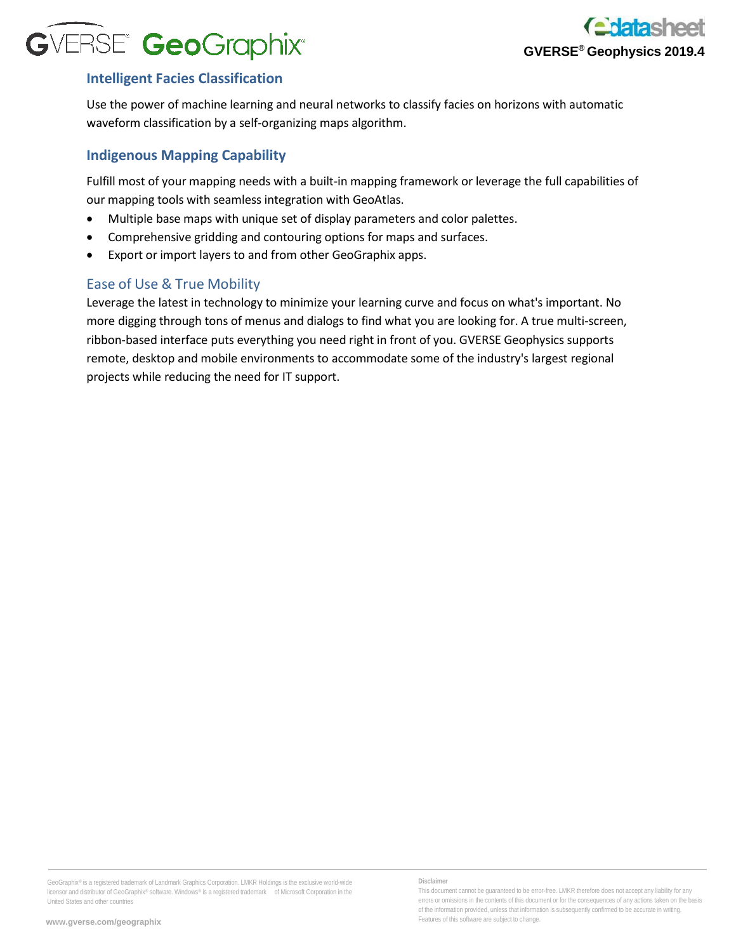

# **Intelligent Facies Classification**

Use the power of machine learning and neural networks to classify facies on horizons with automatic waveform classification by a self-organizing maps algorithm.

## **Indigenous Mapping Capability**

Fulfill most of your mapping needs with a built-in mapping framework or leverage the full capabilities of our mapping tools with seamless integration with GeoAtlas.

- Multiple base maps with unique set of display parameters and color palettes.
- Comprehensive gridding and contouring options for maps and surfaces.
- Export or import layers to and from other GeoGraphix apps.

#### Ease of Use & True Mobility

Leverage the latest in technology to minimize your learning curve and focus on what's important. No more digging through tons of menus and dialogs to find what you are looking for. A true multi-screen, ribbon-based interface puts everything you need right in front of you. GVERSE Geophysics supports remote, desktop and mobile environments to accommodate some of the industry's largest regional projects while reducing the need for IT support.

GeoGraphix® is a registered trademark of Landmark Graphics Corporation. LMKR Holdings is the exclusive world-wide licensor and distributor of GeoGraphix® software. Windows® is a registered trademark of Microsoft Corporation in the United States and other countries

This document cannot be guaranteed to be error-free. LMKR therefore does not accept any liability for any errors or omissions in the contents of this document or for the consequences of any actions taken on the basis of the information provided, unless that information is subsequently confirmed to be accurate in writing. Features of this software are subject to change.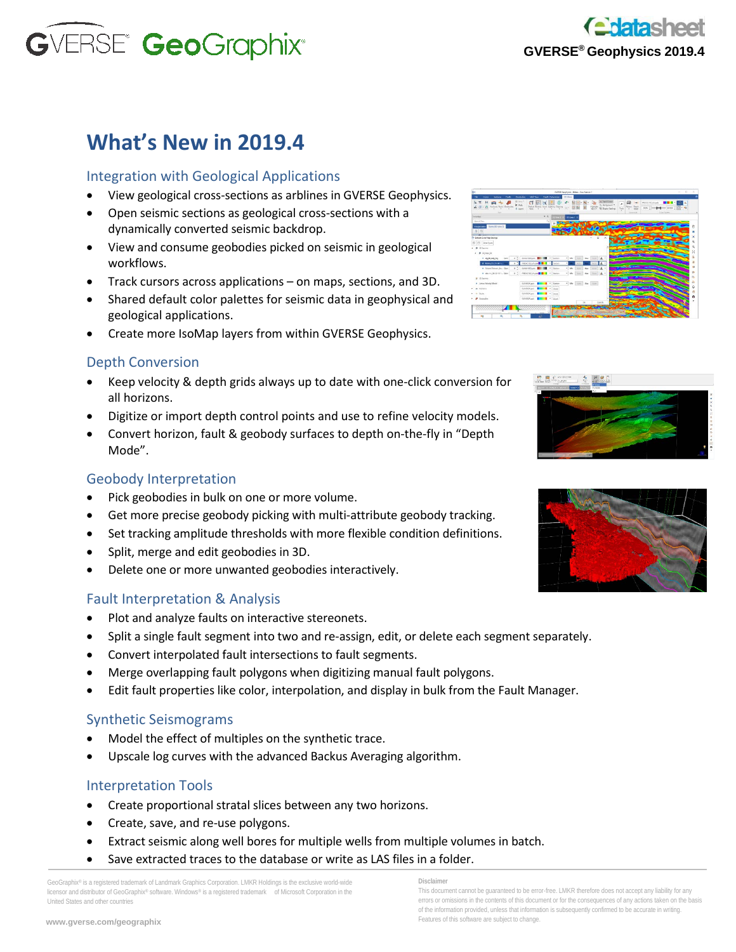

# **What's New in 2019.4**

#### Integration with Geological Applications

- View geological cross-sections as arblines in GVERSE Geophysics.
- Open seismic sections as geological cross-sections with a dynamically converted seismic backdrop.
- View and consume geobodies picked on seismic in geological workflows.
- Track cursors across applications on maps, sections, and 3D.
- Shared default color palettes for seismic data in geophysical and geological applications.
- Create more IsoMap layers from within GVERSE Geophysics.

## Depth Conversion

- Keep velocity & depth grids always up to date with one-click conversion for all horizons.
- Digitize or import depth control points and use to refine velocity models.
- Convert horizon, fault & geobody surfaces to depth on-the-fly in "Depth Mode".

#### Geobody Interpretation

- Pick geobodies in bulk on one or more volume.
- Get more precise geobody picking with multi-attribute geobody tracking.
- Set tracking amplitude thresholds with more flexible condition definitions.
- Split, merge and edit geobodies in 3D.
- Delete one or more unwanted geobodies interactively.

#### Fault Interpretation & Analysis

- Plot and analyze faults on interactive stereonets.
- Split a single fault segment into two and re-assign, edit, or delete each segment separately.
- Convert interpolated fault intersections to fault segments.
- Merge overlapping fault polygons when digitizing manual fault polygons.
- Edit fault properties like color, interpolation, and display in bulk from the Fault Manager.

#### Synthetic Seismograms

- Model the effect of multiples on the synthetic trace.
- Upscale log curves with the advanced Backus Averaging algorithm.

#### Interpretation Tools

- Create proportional stratal slices between any two horizons.
- Create, save, and re-use polygons.
- Extract seismic along well bores for multiple wells from multiple volumes in batch.
- Save extracted traces to the database or write as LAS files in a folder.

GeoGraphix® is a registered trademark of Landmark Graphics Corporation. LMKR Holdings is the exclusive world-wide licensor and distributor of GeoGraphix® software. Windows® is a registered trademark of Microsoft Corporation in the United States and other countries

#### **Disclaimer**

This document cannot be guaranteed to be error-free. LMKR therefore does not accept any liability for any errors or omissions in the contents of this document or for the consequences of any actions taken on the basis of the information provided, unless that information is subsequently confirmed to be accurate in writing. Features of this software are subject to change.





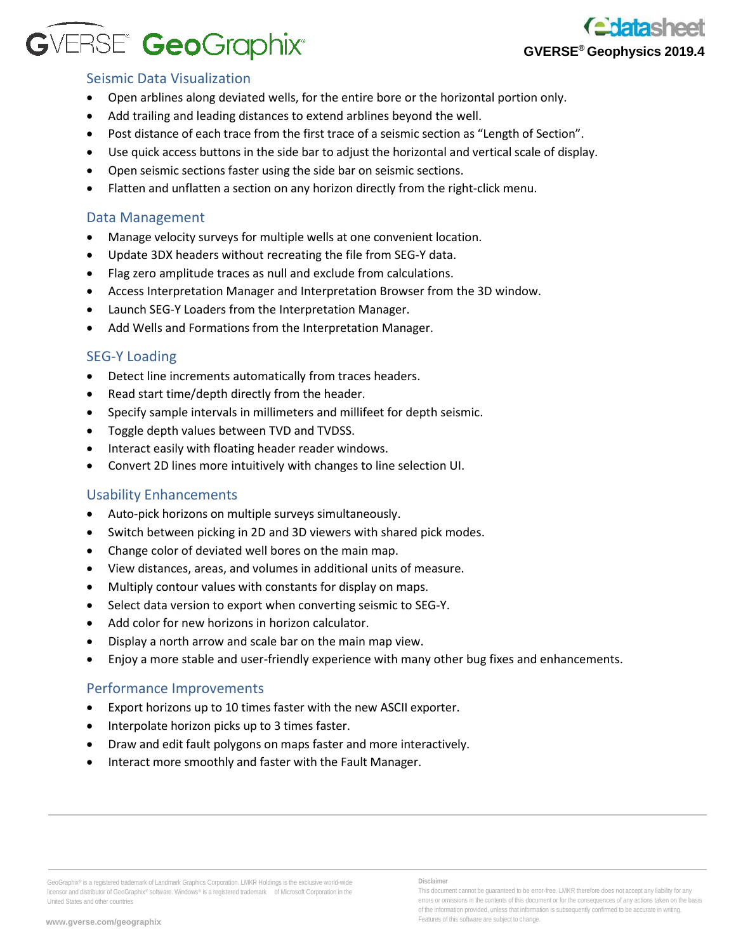# GVERSE® GeoGraphix®



#### Seismic Data Visualization

- Open arblines along deviated wells, for the entire bore or the horizontal portion only.
- Add trailing and leading distances to extend arblines beyond the well.
- Post distance of each trace from the first trace of a seismic section as "Length of Section".
- Use quick access buttons in the side bar to adjust the horizontal and vertical scale of display.
- Open seismic sections faster using the side bar on seismic sections.
- Flatten and unflatten a section on any horizon directly from the right-click menu.

#### Data Management

- Manage velocity surveys for multiple wells at one convenient location.
- Update 3DX headers without recreating the file from SEG-Y data.
- Flag zero amplitude traces as null and exclude from calculations.
- Access Interpretation Manager and Interpretation Browser from the 3D window.
- Launch SEG-Y Loaders from the Interpretation Manager.
- Add Wells and Formations from the Interpretation Manager.

#### SEG-Y Loading

- Detect line increments automatically from traces headers.
- Read start time/depth directly from the header.
- Specify sample intervals in millimeters and millifeet for depth seismic.
- Toggle depth values between TVD and TVDSS.
- Interact easily with floating header reader windows.
- Convert 2D lines more intuitively with changes to line selection UI.

#### Usability Enhancements

- Auto-pick horizons on multiple surveys simultaneously.
- Switch between picking in 2D and 3D viewers with shared pick modes.
- Change color of deviated well bores on the main map.
- View distances, areas, and volumes in additional units of measure.
- Multiply contour values with constants for display on maps.
- Select data version to export when converting seismic to SEG-Y.
- Add color for new horizons in horizon calculator.
- Display a north arrow and scale bar on the main map view.
- Enjoy a more stable and user-friendly experience with many other bug fixes and enhancements.

#### Performance Improvements

- Export horizons up to 10 times faster with the new ASCII exporter.
- Interpolate horizon picks up to 3 times faster.
- Draw and edit fault polygons on maps faster and more interactively.
- Interact more smoothly and faster with the Fault Manager.

**Disclaimer**

GeoGraphix® is a registered trademark of Landmark Graphics Corporation. LMKR Holdings is the exclusive world-wide licensor and distributor of GeoGraphix® software. Windows® is a registered trademark of Microsoft Corporation in the United States and other countries

This document cannot be guaranteed to be error-free. LMKR therefore does not accept any liability for any errors or omissions in the contents of this document or for the consequences of any actions taken on the basis of the information provided, unless that information is subsequently confirmed to be accurate in writing. Features of this software are subject to change.